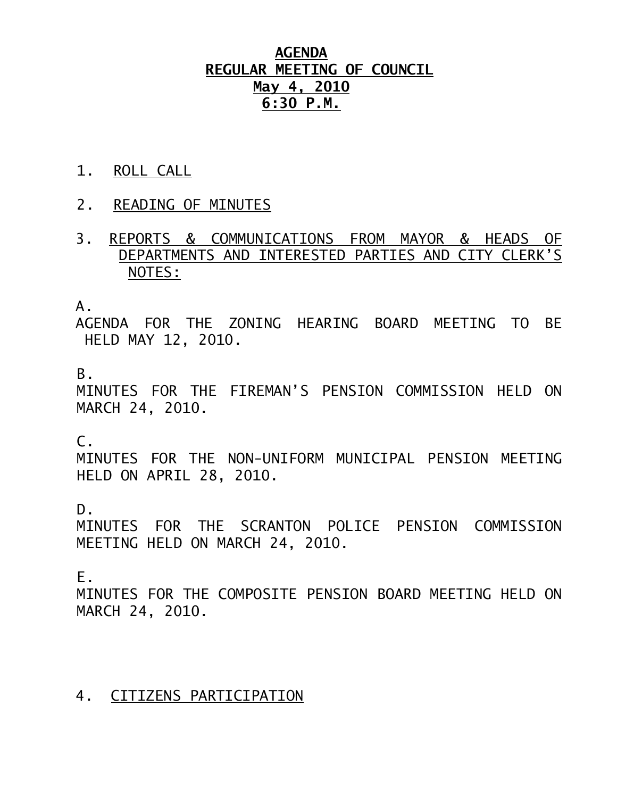# **AGENDA REGULAR MEETING OF COUNCIL May 4, 2010 6:30 P.M.**

- 1. ROLL CALL
- 2. READING OF MINUTES
- 3. REPORTS & COMMUNICATIONS FROM MAYOR & HEADS OF DEPARTMENTS AND INTERESTED PARTIES AND CITY CLERK'S NOTES:

A.

 AGENDA FOR THE ZONING HEARING BOARD MEETING TO BE HELD MAY 12, 2010.

B.

MINUTES FOR THE FIREMAN'S PENSION COMMISSION HELD ON MARCH 24, 2010.

 $C<sub>-</sub>$ 

MINUTES FOR THE NON-UNIFORM MUNICIPAL PENSION MEETING HELD ON APRIL 28, 2010.

D.

MINUTES FOR THE SCRANTON POLICE PENSION COMMISSION MEETING HELD ON MARCH 24, 2010.

E.

MINUTES FOR THE COMPOSITE PENSION BOARD MEETING HELD ON MARCH 24, 2010.

#### 4. CITIZENS PARTICIPATION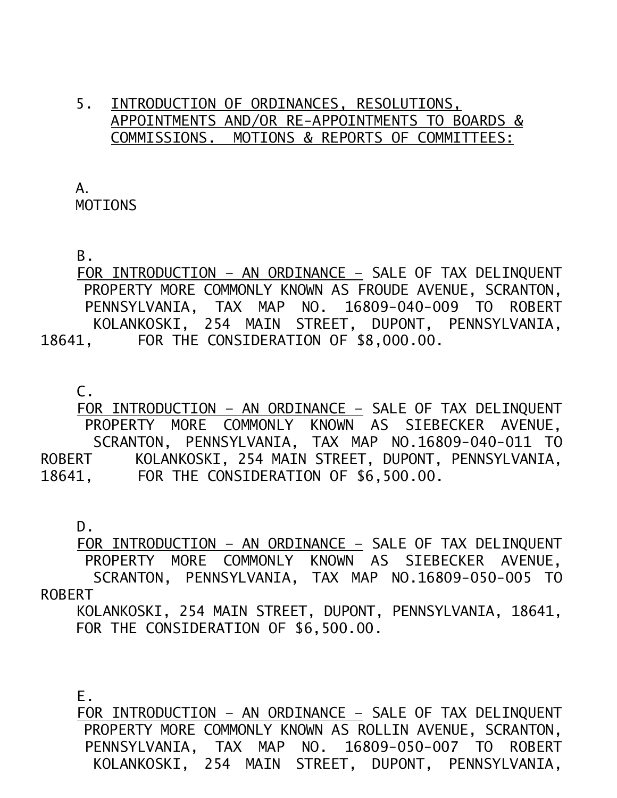### 5. INTRODUCTION OF ORDINANCES, RESOLUTIONS, APPOINTMENTS AND/OR RE-APPOINTMENTS TO BOARDS & COMMISSIONS. MOTIONS & REPORTS OF COMMITTEES:

 A. MOTIONS

B.

 FOR INTRODUCTION – AN ORDINANCE – SALE OF TAX DELINQUENT PROPERTY MORE COMMONLY KNOWN AS FROUDE AVENUE, SCRANTON, PENNSYLVANIA, TAX MAP NO. 16809-040-009 TO ROBERT KOLANKOSKI, 254 MAIN STREET, DUPONT, PENNSYLVANIA, 18641, FOR THE CONSIDERATION OF \$8,000.00.

C.

 FOR INTRODUCTION – AN ORDINANCE – SALE OF TAX DELINQUENT PROPERTY MORE COMMONLY KNOWN AS SIEBECKER AVENUE, SCRANTON, PENNSYLVANIA, TAX MAP NO.16809-040-011 TO ROBERT KOLANKOSKI, 254 MAIN STREET, DUPONT, PENNSYLVANIA, 18641, FOR THE CONSIDERATION OF \$6,500.00.

D.

 FOR INTRODUCTION – AN ORDINANCE – SALE OF TAX DELINQUENT PROPERTY MORE COMMONLY KNOWN AS SIEBECKER AVENUE, SCRANTON, PENNSYLVANIA, TAX MAP NO.16809-050-005 TO ROBERT

 KOLANKOSKI, 254 MAIN STREET, DUPONT, PENNSYLVANIA, 18641, FOR THE CONSIDERATION OF \$6,500.00.

E.

 FOR INTRODUCTION – AN ORDINANCE – SALE OF TAX DELINQUENT PROPERTY MORE COMMONLY KNOWN AS ROLLIN AVENUE, SCRANTON, PENNSYLVANIA, TAX MAP NO. 16809-050-007 TO ROBERT KOLANKOSKI, 254 MAIN STREET, DUPONT, PENNSYLVANIA,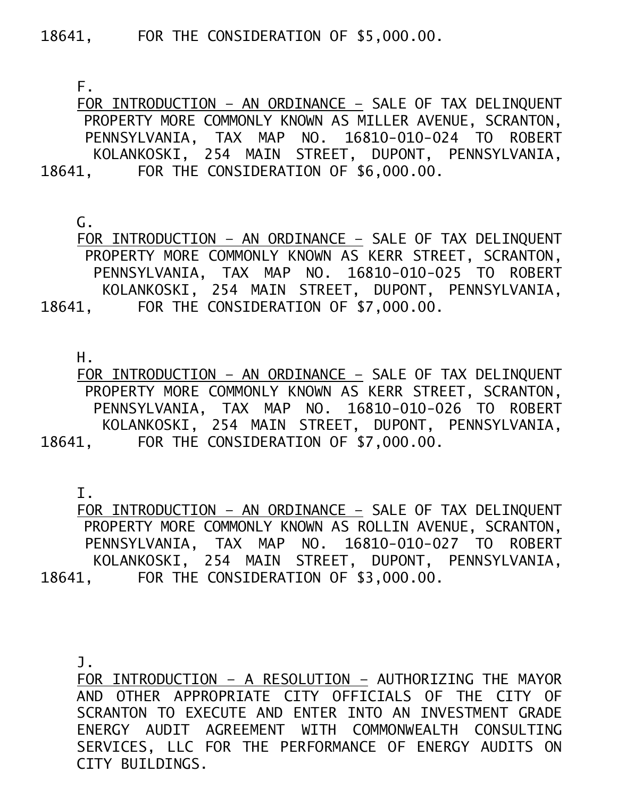18641, FOR THE CONSIDERATION OF \$5,000.00.

F.

 FOR INTRODUCTION – AN ORDINANCE – SALE OF TAX DELINQUENT PROPERTY MORE COMMONLY KNOWN AS MILLER AVENUE, SCRANTON, PENNSYLVANIA, TAX MAP NO. 16810-010-024 TO ROBERT KOLANKOSKI, 254 MAIN STREET, DUPONT, PENNSYLVANIA, 18641, FOR THE CONSIDERATION OF \$6,000.00.

G.

 FOR INTRODUCTION – AN ORDINANCE – SALE OF TAX DELINQUENT PROPERTY MORE COMMONLY KNOWN AS KERR STREET, SCRANTON, PENNSYLVANIA, TAX MAP NO. 16810-010-025 TO ROBERT KOLANKOSKI, 254 MAIN STREET, DUPONT, PENNSYLVANIA, 18641, FOR THE CONSIDERATION OF \$7,000.00.

H.

 FOR INTRODUCTION – AN ORDINANCE – SALE OF TAX DELINQUENT PROPERTY MORE COMMONLY KNOWN AS KERR STREET, SCRANTON, PENNSYLVANIA, TAX MAP NO. 16810-010-026 TO ROBERT KOLANKOSKI, 254 MAIN STREET, DUPONT, PENNSYLVANIA, 18641, FOR THE CONSIDERATION OF \$7,000.00.

I.

 FOR INTRODUCTION – AN ORDINANCE – SALE OF TAX DELINQUENT PROPERTY MORE COMMONLY KNOWN AS ROLLIN AVENUE, SCRANTON, PENNSYLVANIA, TAX MAP NO. 16810-010-027 TO ROBERT KOLANKOSKI, 254 MAIN STREET, DUPONT, PENNSYLVANIA, 18641, FOR THE CONSIDERATION OF \$3,000.00.

J.

FOR INTRODUCTION – A RESOLUTION – AUTHORIZING THE MAYOR AND OTHER APPROPRIATE CITY OFFICIALS OF THE CITY OF SCRANTON TO EXECUTE AND ENTER INTO AN INVESTMENT GRADE ENERGY AUDIT AGREEMENT WITH COMMONWEALTH CONSULTING SERVICES, LLC FOR THE PERFORMANCE OF ENERGY AUDITS ON CITY BUILDINGS.